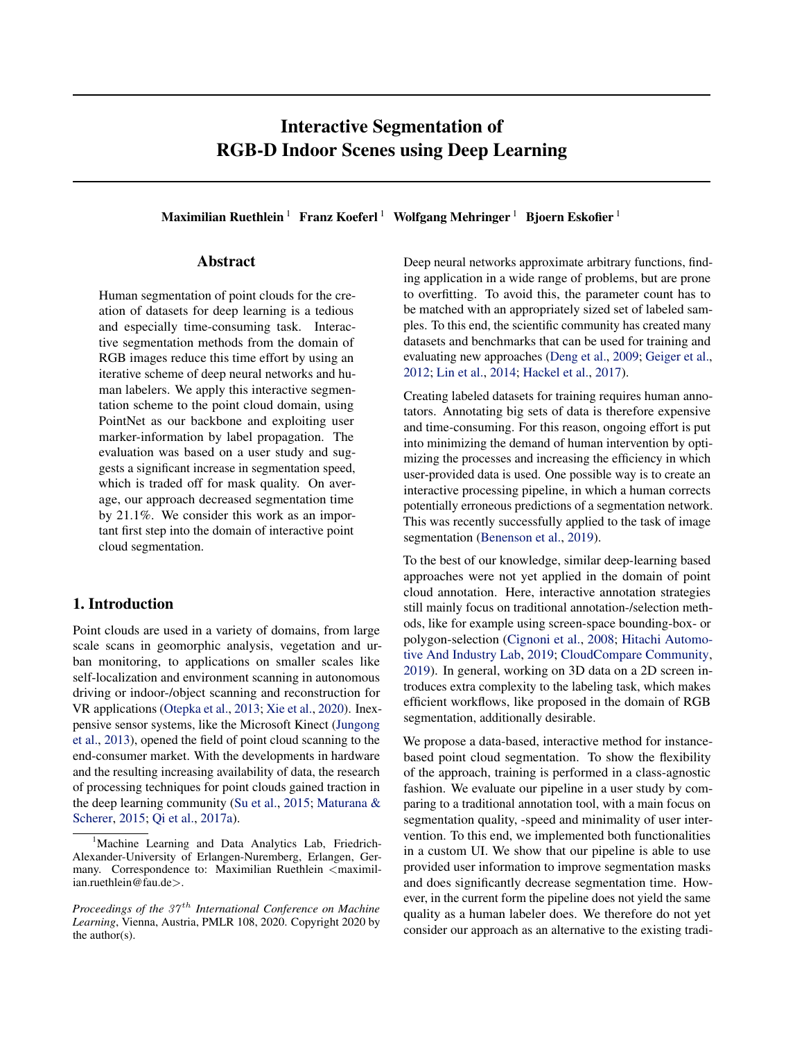# Interactive Segmentation of RGB-D Indoor Scenes using Deep Learning

Maximilian Ruethlein<sup>1</sup> Franz Koeferl<sup>1</sup> Wolfgang Mehringer<sup>1</sup> Bjoern Eskofier<sup>1</sup>

# Abstract

Human segmentation of point clouds for the creation of datasets for deep learning is a tedious and especially time-consuming task. Interactive segmentation methods from the domain of RGB images reduce this time effort by using an iterative scheme of deep neural networks and human labelers. We apply this interactive segmentation scheme to the point cloud domain, using PointNet as our backbone and exploiting user marker-information by label propagation. The evaluation was based on a user study and suggests a significant increase in segmentation speed, which is traded off for mask quality. On average, our approach decreased segmentation time by 21.1%. We consider this work as an important first step into the domain of interactive point cloud segmentation.

# 1. Introduction

Point clouds are used in a variety of domains, from large scale scans in geomorphic analysis, vegetation and urban monitoring, to applications on smaller scales like self-localization and environment scanning in autonomous driving or indoor-/object scanning and reconstruction for VR applications [\(Otepka et al.,](#page-9-0) [2013;](#page-9-0) [Xie et al.,](#page-9-0) [2020\)](#page-9-0). Inexpensive sensor systems, like the Microsoft Kinect [\(Jungong](#page-8-0) [et al.,](#page-8-0) [2013\)](#page-8-0), opened the field of point cloud scanning to the end-consumer market. With the developments in hardware and the resulting increasing availability of data, the research of processing techniques for point clouds gained traction in the deep learning community [\(Su et al.,](#page-9-0) [2015;](#page-9-0) [Maturana &](#page-9-0) [Scherer,](#page-9-0) [2015;](#page-9-0) [Qi et al.,](#page-9-0) [2017a\)](#page-9-0).

Deep neural networks approximate arbitrary functions, finding application in a wide range of problems, but are prone to overfitting. To avoid this, the parameter count has to be matched with an appropriately sized set of labeled samples. To this end, the scientific community has created many datasets and benchmarks that can be used for training and evaluating new approaches [\(Deng et al.,](#page-8-0) [2009;](#page-8-0) [Geiger et al.,](#page-8-0) [2012;](#page-8-0) [Lin et al.,](#page-8-0) [2014;](#page-8-0) [Hackel et al.,](#page-8-0) [2017\)](#page-8-0).

Creating labeled datasets for training requires human annotators. Annotating big sets of data is therefore expensive and time-consuming. For this reason, ongoing effort is put into minimizing the demand of human intervention by optimizing the processes and increasing the efficiency in which user-provided data is used. One possible way is to create an interactive processing pipeline, in which a human corrects potentially erroneous predictions of a segmentation network. This was recently successfully applied to the task of image segmentation [\(Benenson et al.,](#page-8-0) [2019\)](#page-8-0).

To the best of our knowledge, similar deep-learning based approaches were not yet applied in the domain of point cloud annotation. Here, interactive annotation strategies still mainly focus on traditional annotation-/selection methods, like for example using screen-space bounding-box- or polygon-selection [\(Cignoni et al.,](#page-8-0) [2008;](#page-8-0) [Hitachi Automo](#page-8-0)[tive And Industry Lab,](#page-8-0) [2019;](#page-8-0) [CloudCompare Community,](#page-8-0) [2019\)](#page-8-0). In general, working on 3D data on a 2D screen introduces extra complexity to the labeling task, which makes efficient workflows, like proposed in the domain of RGB segmentation, additionally desirable.

We propose a data-based, interactive method for instancebased point cloud segmentation. To show the flexibility of the approach, training is performed in a class-agnostic fashion. We evaluate our pipeline in a user study by comparing to a traditional annotation tool, with a main focus on segmentation quality, -speed and minimality of user intervention. To this end, we implemented both functionalities in a custom UI. We show that our pipeline is able to use provided user information to improve segmentation masks and does significantly decrease segmentation time. However, in the current form the pipeline does not yield the same quality as a human labeler does. We therefore do not yet consider our approach as an alternative to the existing tradi-

<sup>&</sup>lt;sup>1</sup>Machine Learning and Data Analytics Lab, Friedrich-Alexander-University of Erlangen-Nuremberg, Erlangen, Germany. Correspondence to: Maximilian Ruethlein <maximilian.ruethlein@fau.de>.

*Proceedings of the 37<sup>th</sup> International Conference on Machine Learning*, Vienna, Austria, PMLR 108, 2020. Copyright 2020 by the author(s).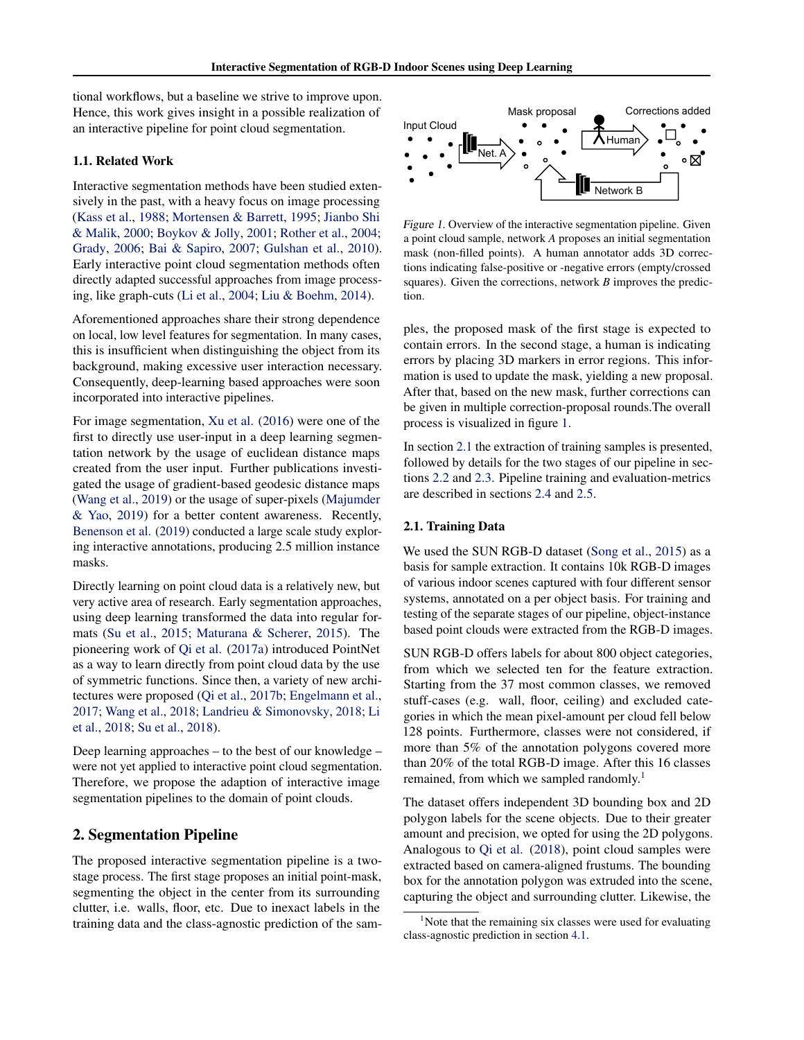<span id="page-1-0"></span>tional workflows, but a baseline we strive to improve upon. Hence, this work gives insight in a possible realization of an interactive pipeline for point cloud segmentation.

# 1.1. Related Work

Interactive segmentation methods have been studied extensively in the past, with a heavy focus on image processing [\(Kass et al.,](#page-8-0) [1988;](#page-8-0) [Mortensen & Barrett,](#page-9-0) [1995;](#page-9-0) [Jianbo Shi](#page-8-0) [& Malik,](#page-8-0) [2000;](#page-8-0) [Boykov & Jolly,](#page-8-0) [2001;](#page-8-0) [Rother et al.,](#page-9-0) [2004;](#page-9-0) [Grady,](#page-8-0) [2006;](#page-8-0) [Bai & Sapiro,](#page-8-0) [2007;](#page-8-0) [Gulshan et al.,](#page-8-0) [2010\)](#page-8-0). Early interactive point cloud segmentation methods often directly adapted successful approaches from image processing, like graph-cuts [\(Li et al.,](#page-8-0) [2004;](#page-8-0) [Liu & Boehm,](#page-9-0) [2014\)](#page-9-0).

Aforementioned approaches share their strong dependence on local, low level features for segmentation. In many cases, this is insufficient when distinguishing the object from its background, making excessive user interaction necessary. Consequently, deep-learning based approaches were soon incorporated into interactive pipelines.

For image segmentation, [Xu et al.](#page-9-0) [\(2016\)](#page-9-0) were one of the first to directly use user-input in a deep learning segmentation network by the usage of euclidean distance maps created from the user input. Further publications investigated the usage of gradient-based geodesic distance maps [\(Wang et al.,](#page-9-0) [2019\)](#page-9-0) or the usage of super-pixels [\(Majumder](#page-9-0) [& Yao,](#page-9-0) [2019\)](#page-9-0) for a better content awareness. Recently, [Benenson et al.](#page-8-0) [\(2019\)](#page-8-0) conducted a large scale study exploring interactive annotations, producing 2.5 million instance masks.

Directly learning on point cloud data is a relatively new, but very active area of research. Early segmentation approaches, using deep learning transformed the data into regular formats [\(Su et al.,](#page-9-0) [2015;](#page-9-0) [Maturana & Scherer,](#page-9-0) [2015\)](#page-9-0). The pioneering work of [Qi et al.](#page-9-0) [\(2017a\)](#page-9-0) introduced PointNet as a way to learn directly from point cloud data by the use of symmetric functions. Since then, a variety of new architectures were proposed [\(Qi et al.,](#page-9-0) [2017b;](#page-9-0) [Engelmann et al.,](#page-8-0) [2017;](#page-8-0) [Wang et al.,](#page-9-0) [2018;](#page-9-0) [Landrieu & Simonovsky,](#page-8-0) [2018;](#page-8-0) [Li](#page-8-0) [et al.,](#page-8-0) [2018;](#page-8-0) [Su et al.,](#page-9-0) [2018\)](#page-9-0).

Deep learning approaches – to the best of our knowledge – were not yet applied to interactive point cloud segmentation. Therefore, we propose the adaption of interactive image segmentation pipelines to the domain of point clouds.

# 2. Segmentation Pipeline

The proposed interactive segmentation pipeline is a twostage process. The first stage proposes an initial point-mask, segmenting the object in the center from its surrounding clutter, i.e. walls, floor, etc. Due to inexact labels in the training data and the class-agnostic prediction of the sam-



Figure 1. Overview of the interactive segmentation pipeline. Given a point cloud sample, network *A* proposes an initial segmentation mask (non-filled points). A human annotator adds 3D corrections indicating false-positive or -negative errors (empty/crossed squares). Given the corrections, network *B* improves the prediction.

ples, the proposed mask of the first stage is expected to contain errors. In the second stage, a human is indicating errors by placing 3D markers in error regions. This information is used to update the mask, yielding a new proposal. After that, based on the new mask, further corrections can be given in multiple correction-proposal rounds.The overall process is visualized in figure 1.

In section 2.1 the extraction of training samples is presented, followed by details for the two stages of our pipeline in sections [2.2](#page-2-0) and [2.3.](#page-2-0) Pipeline training and evaluation-metrics are described in sections [2.4](#page-2-0) and [2.5.](#page-3-0)

# 2.1. Training Data

We used the SUN RGB-D dataset [\(Song et al.,](#page-9-0) [2015\)](#page-9-0) as a basis for sample extraction. It contains 10k RGB-D images of various indoor scenes captured with four different sensor systems, annotated on a per object basis. For training and testing of the separate stages of our pipeline, object-instance based point clouds were extracted from the RGB-D images.

SUN RGB-D offers labels for about 800 object categories, from which we selected ten for the feature extraction. Starting from the 37 most common classes, we removed stuff-cases (e.g. wall, floor, ceiling) and excluded categories in which the mean pixel-amount per cloud fell below 128 points. Furthermore, classes were not considered, if more than 5% of the annotation polygons covered more than 20% of the total RGB-D image. After this 16 classes remained, from which we sampled randomly.<sup>1</sup>

The dataset offers independent 3D bounding box and 2D polygon labels for the scene objects. Due to their greater amount and precision, we opted for using the 2D polygons. Analogous to [Qi et al.](#page-9-0) [\(2018\)](#page-9-0), point cloud samples were extracted based on camera-aligned frustums. The bounding box for the annotation polygon was extruded into the scene, capturing the object and surrounding clutter. Likewise, the

 $1$ Note that the remaining six classes were used for evaluating class-agnostic prediction in section [4.1.](#page-4-0)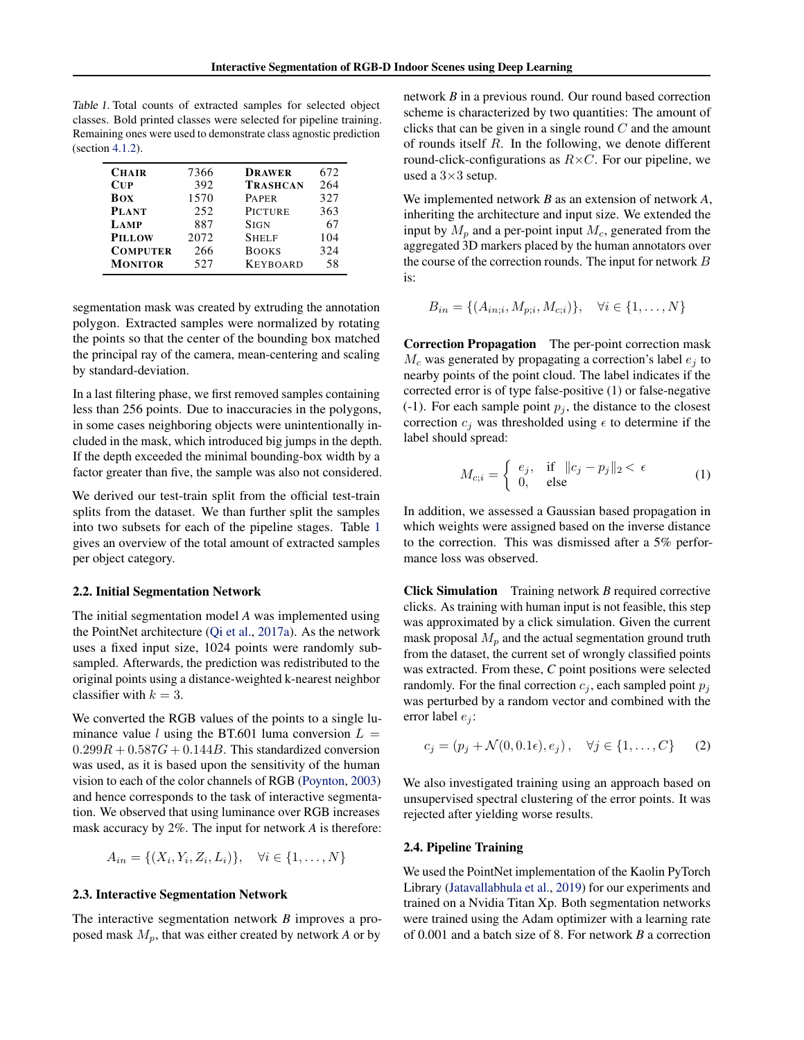<span id="page-2-0"></span>Table 1. Total counts of extracted samples for selected object classes. Bold printed classes were selected for pipeline training. Remaining ones were used to demonstrate class agnostic prediction (section [4.1.2\)](#page-4-0).

| <b>CHAIR</b>    | 7366 | <b>DRAWER</b>   | 672 |
|-----------------|------|-----------------|-----|
| CUP             | 392  | <b>TRASHCAN</b> | 264 |
| <b>BOX</b>      | 1570 | <b>PAPER</b>    | 327 |
| <b>PLANT</b>    | 252  | <b>PICTURE</b>  | 363 |
| LAMP            | 887  | <b>SIGN</b>     | 67  |
| <b>PILLOW</b>   | 2072 | <b>SHELF</b>    | 104 |
| <b>COMPUTER</b> | 266  | <b>BOOKS</b>    | 324 |
| <b>MONITOR</b>  | 527  | <b>KEYBOARD</b> | 58  |
|                 |      |                 |     |

segmentation mask was created by extruding the annotation polygon. Extracted samples were normalized by rotating the points so that the center of the bounding box matched the principal ray of the camera, mean-centering and scaling by standard-deviation.

In a last filtering phase, we first removed samples containing less than 256 points. Due to inaccuracies in the polygons, in some cases neighboring objects were unintentionally included in the mask, which introduced big jumps in the depth. If the depth exceeded the minimal bounding-box width by a factor greater than five, the sample was also not considered.

We derived our test-train split from the official test-train splits from the dataset. We than further split the samples into two subsets for each of the pipeline stages. Table 1 gives an overview of the total amount of extracted samples per object category.

#### 2.2. Initial Segmentation Network

The initial segmentation model *A* was implemented using the PointNet architecture [\(Qi et al.,](#page-9-0) [2017a\)](#page-9-0). As the network uses a fixed input size, 1024 points were randomly subsampled. Afterwards, the prediction was redistributed to the original points using a distance-weighted k-nearest neighbor classifier with  $k = 3$ .

We converted the RGB values of the points to a single luminance value l using the BT.601 luma conversion  $L =$  $0.299R + 0.587G + 0.144B$ . This standardized conversion was used, as it is based upon the sensitivity of the human vision to each of the color channels of RGB [\(Poynton,](#page-9-0) [2003\)](#page-9-0) and hence corresponds to the task of interactive segmentation. We observed that using luminance over RGB increases mask accuracy by 2%. The input for network *A* is therefore:

$$
A_{in} = \{(X_i, Y_i, Z_i, L_i)\}, \quad \forall i \in \{1, ..., N\}
$$

# 2.3. Interactive Segmentation Network

The interactive segmentation network *B* improves a proposed mask  $M_n$ , that was either created by network  $A$  or by

network *B* in a previous round. Our round based correction scheme is characterized by two quantities: The amount of clicks that can be given in a single round  $C$  and the amount of rounds itself R. In the following, we denote different round-click-configurations as  $R \times C$ . For our pipeline, we used a  $3\times3$  setup.

We implemented network *B* as an extension of network *A*, inheriting the architecture and input size. We extended the input by  $M_p$  and a per-point input  $M_c$ , generated from the aggregated 3D markers placed by the human annotators over the course of the correction rounds. The input for network B is:

$$
B_{in} = \{(A_{in;i}, M_{p;i}, M_{c;i})\}, \quad \forall i \in \{1, \dots, N\}
$$

Correction Propagation The per-point correction mask  $M_c$  was generated by propagating a correction's label  $e_i$  to nearby points of the point cloud. The label indicates if the corrected error is of type false-positive (1) or false-negative (-1). For each sample point  $p_i$ , the distance to the closest correction  $c_j$  was thresholded using  $\epsilon$  to determine if the label should spread:

$$
M_{c;i} = \begin{cases} e_j, & \text{if } \|c_j - p_j\|_2 < \epsilon \\ 0, & \text{else} \end{cases} \tag{1}
$$

In addition, we assessed a Gaussian based propagation in which weights were assigned based on the inverse distance to the correction. This was dismissed after a 5% performance loss was observed.

Click Simulation Training network *B* required corrective clicks. As training with human input is not feasible, this step was approximated by a click simulation. Given the current mask proposal  $M_p$  and the actual segmentation ground truth from the dataset, the current set of wrongly classified points was extracted. From these, *C* point positions were selected randomly. For the final correction  $c_j$ , each sampled point  $p_j$ was perturbed by a random vector and combined with the error label  $e_i$ :

$$
c_j = (p_j + \mathcal{N}(0, 0.1\epsilon), e_j), \quad \forall j \in \{1, \dots, C\} \tag{2}
$$

We also investigated training using an approach based on unsupervised spectral clustering of the error points. It was rejected after yielding worse results.

# 2.4. Pipeline Training

We used the PointNet implementation of the Kaolin PyTorch Library [\(Jatavallabhula et al.,](#page-8-0) [2019\)](#page-8-0) for our experiments and trained on a Nvidia Titan Xp. Both segmentation networks were trained using the Adam optimizer with a learning rate of 0.001 and a batch size of 8. For network *B* a correction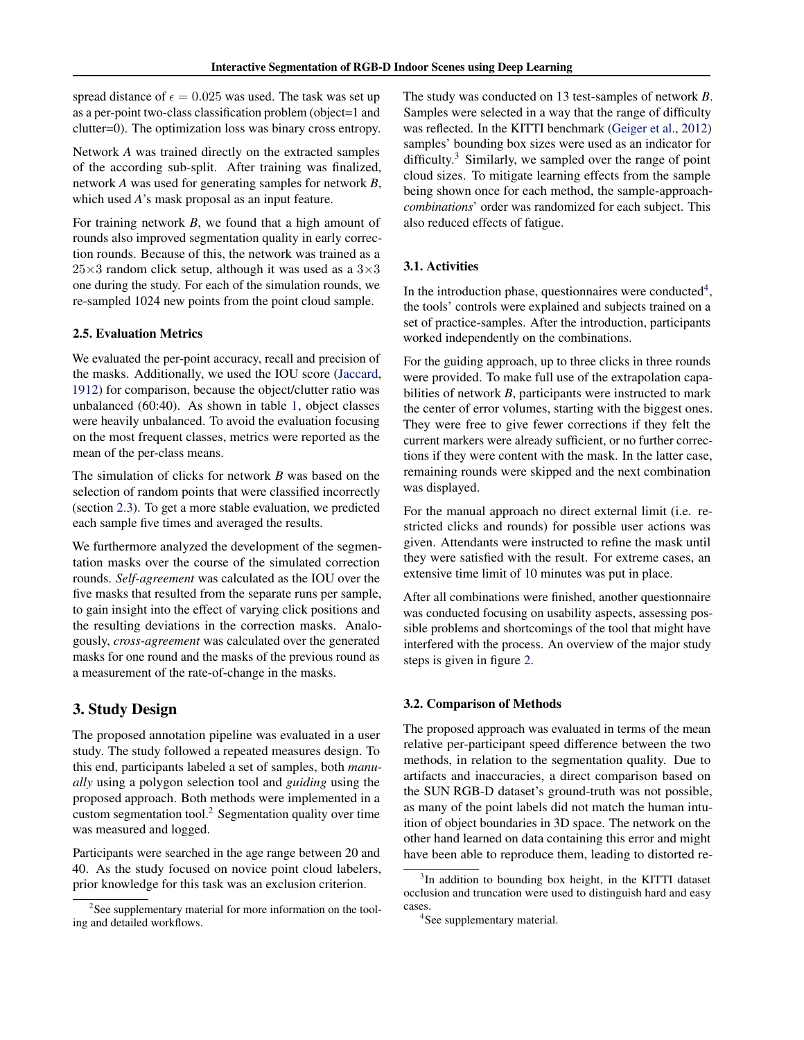<span id="page-3-0"></span>spread distance of  $\epsilon = 0.025$  was used. The task was set up as a per-point two-class classification problem (object=1 and clutter=0). The optimization loss was binary cross entropy.

Network *A* was trained directly on the extracted samples of the according sub-split. After training was finalized, network *A* was used for generating samples for network *B*, which used *A*'s mask proposal as an input feature.

For training network *B*, we found that a high amount of rounds also improved segmentation quality in early correction rounds. Because of this, the network was trained as a  $25\times3$  random click setup, although it was used as a  $3\times3$ one during the study. For each of the simulation rounds, we re-sampled 1024 new points from the point cloud sample.

# 2.5. Evaluation Metrics

We evaluated the per-point accuracy, recall and precision of the masks. Additionally, we used the IOU score [\(Jaccard,](#page-8-0) [1912\)](#page-8-0) for comparison, because the object/clutter ratio was unbalanced (60:40). As shown in table [1,](#page-2-0) object classes were heavily unbalanced. To avoid the evaluation focusing on the most frequent classes, metrics were reported as the mean of the per-class means.

The simulation of clicks for network *B* was based on the selection of random points that were classified incorrectly (section [2.3\)](#page-2-0). To get a more stable evaluation, we predicted each sample five times and averaged the results.

We furthermore analyzed the development of the segmentation masks over the course of the simulated correction rounds. *Self-agreement* was calculated as the IOU over the five masks that resulted from the separate runs per sample, to gain insight into the effect of varying click positions and the resulting deviations in the correction masks. Analogously, *cross-agreement* was calculated over the generated masks for one round and the masks of the previous round as a measurement of the rate-of-change in the masks.

# 3. Study Design

The proposed annotation pipeline was evaluated in a user study. The study followed a repeated measures design. To this end, participants labeled a set of samples, both *manually* using a polygon selection tool and *guiding* using the proposed approach. Both methods were implemented in a custom segmentation tool.<sup>2</sup> Segmentation quality over time was measured and logged.

Participants were searched in the age range between 20 and 40. As the study focused on novice point cloud labelers, prior knowledge for this task was an exclusion criterion.

The study was conducted on 13 test-samples of network *B*. Samples were selected in a way that the range of difficulty was reflected. In the KITTI benchmark [\(Geiger et al.,](#page-8-0) [2012\)](#page-8-0) samples' bounding box sizes were used as an indicator for difficulty. $3$  Similarly, we sampled over the range of point cloud sizes. To mitigate learning effects from the sample being shown once for each method, the sample-approach*combinations*' order was randomized for each subject. This also reduced effects of fatigue.

#### 3.1. Activities

In the introduction phase, questionnaires were conducted<sup>4</sup>, the tools' controls were explained and subjects trained on a set of practice-samples. After the introduction, participants worked independently on the combinations.

For the guiding approach, up to three clicks in three rounds were provided. To make full use of the extrapolation capabilities of network *B*, participants were instructed to mark the center of error volumes, starting with the biggest ones. They were free to give fewer corrections if they felt the current markers were already sufficient, or no further corrections if they were content with the mask. In the latter case, remaining rounds were skipped and the next combination was displayed.

For the manual approach no direct external limit (i.e. restricted clicks and rounds) for possible user actions was given. Attendants were instructed to refine the mask until they were satisfied with the result. For extreme cases, an extensive time limit of 10 minutes was put in place.

After all combinations were finished, another questionnaire was conducted focusing on usability aspects, assessing possible problems and shortcomings of the tool that might have interfered with the process. An overview of the major study steps is given in figure [2.](#page-4-0)

#### 3.2. Comparison of Methods

The proposed approach was evaluated in terms of the mean relative per-participant speed difference between the two methods, in relation to the segmentation quality. Due to artifacts and inaccuracies, a direct comparison based on the SUN RGB-D dataset's ground-truth was not possible, as many of the point labels did not match the human intuition of object boundaries in 3D space. The network on the other hand learned on data containing this error and might have been able to reproduce them, leading to distorted re-

 $2$ See supplementary material for more information on the tooling and detailed workflows.

<sup>&</sup>lt;sup>3</sup>In addition to bounding box height, in the KITTI dataset occlusion and truncation were used to distinguish hard and easy cases.

<sup>4</sup> See supplementary material.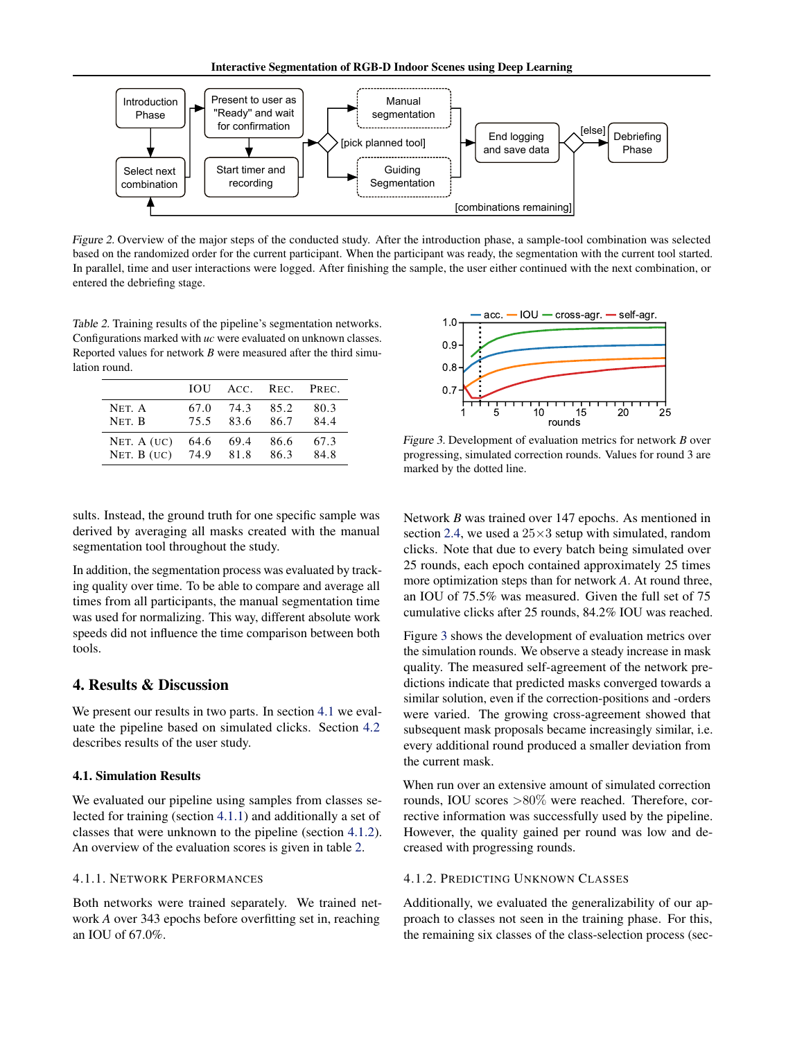<span id="page-4-0"></span>

Figure 2. Overview of the major steps of the conducted study. After the introduction phase, a sample-tool combination was selected based on the randomized order for the current participant. When the participant was ready, the segmentation with the current tool started. In parallel, time and user interactions were logged. After finishing the sample, the user either continued with the next combination, or entered the debriefing stage.

Table 2. Training results of the pipeline's segmentation networks. Configurations marked with *uc* were evaluated on unknown classes. Reported values for network *B* were measured after the third simulation round.

|              | TOU – |      | ACC. REC. | PREC. |
|--------------|-------|------|-----------|-------|
| NET. A       | 67.0  | 74.3 | 85.2      | 80.3  |
| NET. B       | 75.5  | 83.6 | 86.7      | 84.4  |
| NET. $A(UC)$ | 64.6  | 69.4 | 86.6      | 67.3  |
| NET. $B(UC)$ | 74.9  | 81.8 | 86.3      | 84.8  |

sults. Instead, the ground truth for one specific sample was derived by averaging all masks created with the manual segmentation tool throughout the study.

In addition, the segmentation process was evaluated by tracking quality over time. To be able to compare and average all times from all participants, the manual segmentation time was used for normalizing. This way, different absolute work speeds did not influence the time comparison between both tools.

# 4. Results & Discussion

We present our results in two parts. In section 4.1 we evaluate the pipeline based on simulated clicks. Section [4.2](#page-5-0) describes results of the user study.

#### 4.1. Simulation Results

We evaluated our pipeline using samples from classes selected for training (section 4.1.1) and additionally a set of classes that were unknown to the pipeline (section 4.1.2). An overview of the evaluation scores is given in table 2.

# 4.1.1. NETWORK PERFORMANCES

Both networks were trained separately. We trained network *A* over 343 epochs before overfitting set in, reaching an IOU of 67.0%.



Figure 3. Development of evaluation metrics for network *B* over progressing, simulated correction rounds. Values for round 3 are marked by the dotted line.

Network *B* was trained over 147 epochs. As mentioned in section [2.4,](#page-2-0) we used a  $25\times3$  setup with simulated, random clicks. Note that due to every batch being simulated over 25 rounds, each epoch contained approximately 25 times more optimization steps than for network *A*. At round three, an IOU of 75.5% was measured. Given the full set of 75 cumulative clicks after 25 rounds, 84.2% IOU was reached.

Figure 3 shows the development of evaluation metrics over the simulation rounds. We observe a steady increase in mask quality. The measured self-agreement of the network predictions indicate that predicted masks converged towards a similar solution, even if the correction-positions and -orders were varied. The growing cross-agreement showed that subsequent mask proposals became increasingly similar, i.e. every additional round produced a smaller deviation from the current mask.

When run over an extensive amount of simulated correction rounds, IOU scores >80% were reached. Therefore, corrective information was successfully used by the pipeline. However, the quality gained per round was low and decreased with progressing rounds.

# 4.1.2. PREDICTING UNKNOWN CLASSES

Additionally, we evaluated the generalizability of our approach to classes not seen in the training phase. For this, the remaining six classes of the class-selection process (sec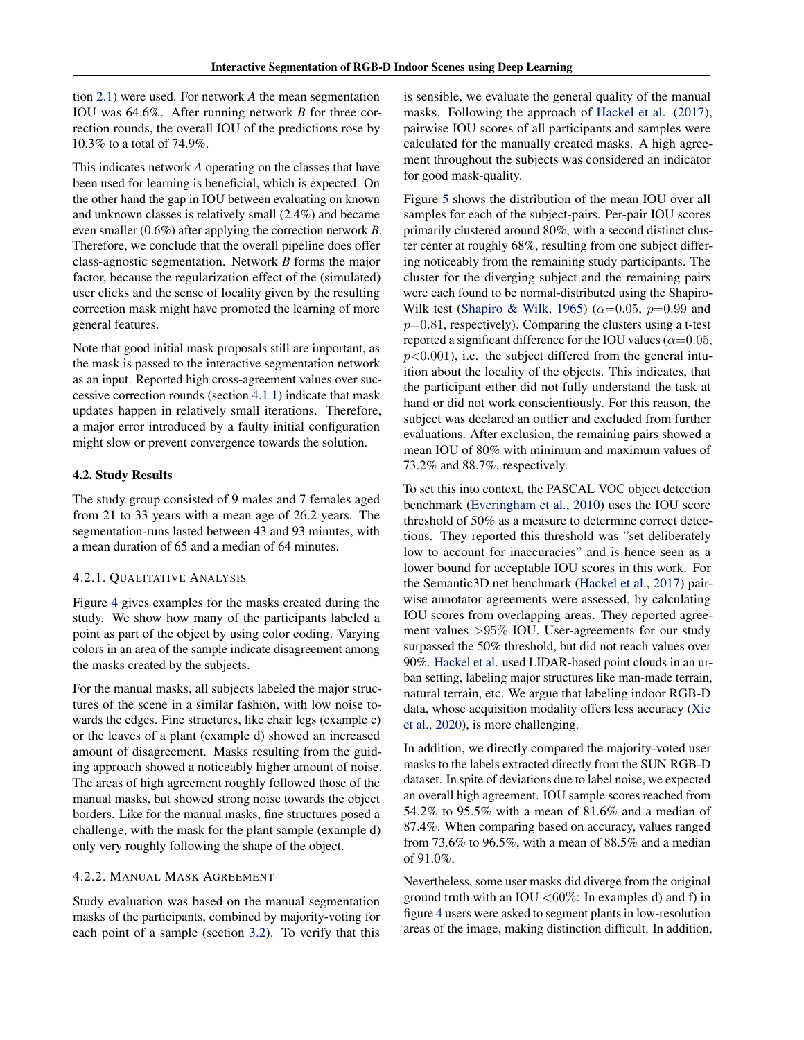<span id="page-5-0"></span>tion [2.1\)](#page-1-0) were used. For network *A* the mean segmentation IOU was 64.6%. After running network *B* for three correction rounds, the overall IOU of the predictions rose by 10.3% to a total of 74.9%.

This indicates network *A* operating on the classes that have been used for learning is beneficial, which is expected. On the other hand the gap in IOU between evaluating on known and unknown classes is relatively small (2.4%) and became even smaller (0.6%) after applying the correction network *B*. Therefore, we conclude that the overall pipeline does offer class-agnostic segmentation. Network *B* forms the major factor, because the regularization effect of the (simulated) user clicks and the sense of locality given by the resulting correction mask might have promoted the learning of more general features.

Note that good initial mask proposals still are important, as the mask is passed to the interactive segmentation network as an input. Reported high cross-agreement values over successive correction rounds (section [4.1.1\)](#page-4-0) indicate that mask updates happen in relatively small iterations. Therefore, a major error introduced by a faulty initial configuration might slow or prevent convergence towards the solution.

# 4.2. Study Results

The study group consisted of 9 males and 7 females aged from 21 to 33 years with a mean age of 26.2 years. The segmentation-runs lasted between 43 and 93 minutes, with a mean duration of 65 and a median of 64 minutes.

# 4.2.1. QUALITATIVE ANALYSIS

Figure [4](#page-6-0) gives examples for the masks created during the study. We show how many of the participants labeled a point as part of the object by using color coding. Varying colors in an area of the sample indicate disagreement among the masks created by the subjects.

For the manual masks, all subjects labeled the major structures of the scene in a similar fashion, with low noise towards the edges. Fine structures, like chair legs (example c) or the leaves of a plant (example d) showed an increased amount of disagreement. Masks resulting from the guiding approach showed a noticeably higher amount of noise. The areas of high agreement roughly followed those of the manual masks, but showed strong noise towards the object borders. Like for the manual masks, fine structures posed a challenge, with the mask for the plant sample (example d) only very roughly following the shape of the object.

# 4.2.2. MANUAL MASK AGREEMENT

Study evaluation was based on the manual segmentation masks of the participants, combined by majority-voting for each point of a sample (section [3.2\)](#page-3-0). To verify that this

is sensible, we evaluate the general quality of the manual masks. Following the approach of [Hackel et al.](#page-8-0) [\(2017\)](#page-8-0), pairwise IOU scores of all participants and samples were calculated for the manually created masks. A high agreement throughout the subjects was considered an indicator for good mask-quality.

Figure [5](#page-6-0) shows the distribution of the mean IOU over all samples for each of the subject-pairs. Per-pair IOU scores primarily clustered around 80%, with a second distinct cluster center at roughly 68%, resulting from one subject differing noticeably from the remaining study participants. The cluster for the diverging subject and the remaining pairs were each found to be normal-distributed using the Shapiro-Wilk test [\(Shapiro & Wilk,](#page-9-0) [1965\)](#page-9-0) ( $\alpha$ =0.05, p=0.99 and  $p=0.81$ , respectively). Comparing the clusters using a t-test reported a significant difference for the IOU values ( $\alpha$ =0.05,  $p<0.001$ ), i.e. the subject differed from the general intuition about the locality of the objects. This indicates, that the participant either did not fully understand the task at hand or did not work conscientiously. For this reason, the subject was declared an outlier and excluded from further evaluations. After exclusion, the remaining pairs showed a mean IOU of 80% with minimum and maximum values of 73.2% and 88.7%, respectively.

To set this into context, the PASCAL VOC object detection benchmark [\(Everingham et al.,](#page-8-0) [2010\)](#page-8-0) uses the IOU score threshold of 50% as a measure to determine correct detections. They reported this threshold was "set deliberately low to account for inaccuracies" and is hence seen as a lower bound for acceptable IOU scores in this work. For the Semantic3D.net benchmark [\(Hackel et al.,](#page-8-0) [2017\)](#page-8-0) pairwise annotator agreements were assessed, by calculating IOU scores from overlapping areas. They reported agreement values >95% IOU. User-agreements for our study surpassed the 50% threshold, but did not reach values over 90%. [Hackel et al.](#page-8-0) used LIDAR-based point clouds in an urban setting, labeling major structures like man-made terrain, natural terrain, etc. We argue that labeling indoor RGB-D data, whose acquisition modality offers less accuracy [\(Xie](#page-9-0) [et al.,](#page-9-0) [2020\)](#page-9-0), is more challenging.

In addition, we directly compared the majority-voted user masks to the labels extracted directly from the SUN RGB-D dataset. In spite of deviations due to label noise, we expected an overall high agreement. IOU sample scores reached from 54.2% to 95.5% with a mean of 81.6% and a median of 87.4%. When comparing based on accuracy, values ranged from 73.6% to 96.5%, with a mean of 88.5% and a median of 91.0%.

Nevertheless, some user masks did diverge from the original ground truth with an IOU  $\langle 60\%$ : In examples d) and f) in figure [4](#page-6-0) users were asked to segment plants in low-resolution areas of the image, making distinction difficult. In addition,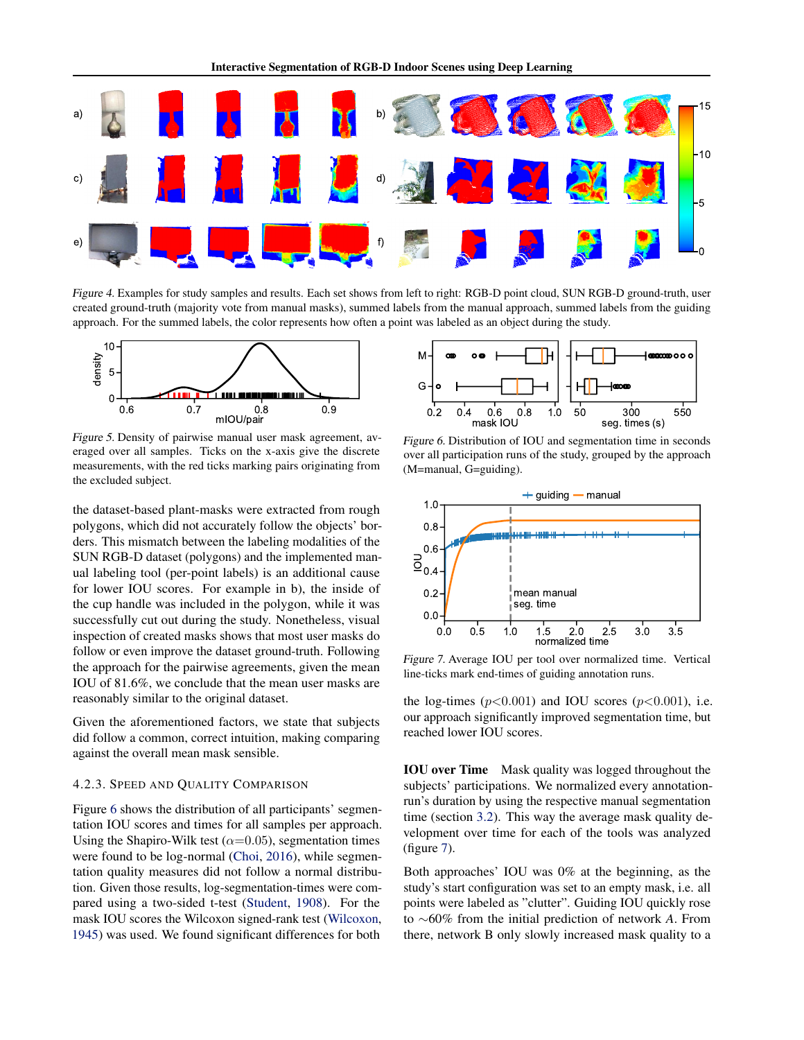<span id="page-6-0"></span>

Figure 4. Examples for study samples and results. Each set shows from left to right: RGB-D point cloud, SUN RGB-D ground-truth, user created ground-truth (majority vote from manual masks), summed labels from the manual approach, summed labels from the guiding approach. For the summed labels, the color represents how often a point was labeled as an object during the study.



Figure 5. Density of pairwise manual user mask agreement, averaged over all samples. Ticks on the x-axis give the discrete measurements, with the red ticks marking pairs originating from the excluded subject.

the dataset-based plant-masks were extracted from rough polygons, which did not accurately follow the objects' borders. This mismatch between the labeling modalities of the SUN RGB-D dataset (polygons) and the implemented manual labeling tool (per-point labels) is an additional cause for lower IOU scores. For example in b), the inside of the cup handle was included in the polygon, while it was successfully cut out during the study. Nonetheless, visual inspection of created masks shows that most user masks do follow or even improve the dataset ground-truth. Following the approach for the pairwise agreements, given the mean IOU of 81.6%, we conclude that the mean user masks are reasonably similar to the original dataset.

Given the aforementioned factors, we state that subjects did follow a common, correct intuition, making comparing against the overall mean mask sensible.

#### 4.2.3. SPEED AND QUALITY COMPARISON

Figure 6 shows the distribution of all participants' segmentation IOU scores and times for all samples per approach. Using the Shapiro-Wilk test ( $\alpha$ =0.05), segmentation times were found to be log-normal [\(Choi,](#page-8-0) [2016\)](#page-8-0), while segmentation quality measures did not follow a normal distribution. Given those results, log-segmentation-times were compared using a two-sided t-test [\(Student,](#page-9-0) [1908\)](#page-9-0). For the mask IOU scores the Wilcoxon signed-rank test [\(Wilcoxon,](#page-9-0) [1945\)](#page-9-0) was used. We found significant differences for both



Figure 6. Distribution of IOU and segmentation time in seconds over all participation runs of the study, grouped by the approach (M=manual, G=guiding).



Figure 7. Average IOU per tool over normalized time. Vertical line-ticks mark end-times of guiding annotation runs.

the log-times  $(p<0.001)$  and IOU scores  $(p<0.001)$ , i.e. our approach significantly improved segmentation time, but reached lower IOU scores.

IOU over Time Mask quality was logged throughout the subjects' participations. We normalized every annotationrun's duration by using the respective manual segmentation time (section [3.2\)](#page-3-0). This way the average mask quality development over time for each of the tools was analyzed (figure 7).

Both approaches' IOU was 0% at the beginning, as the study's start configuration was set to an empty mask, i.e. all points were labeled as "clutter". Guiding IOU quickly rose to ∼60% from the initial prediction of network *A*. From there, network B only slowly increased mask quality to a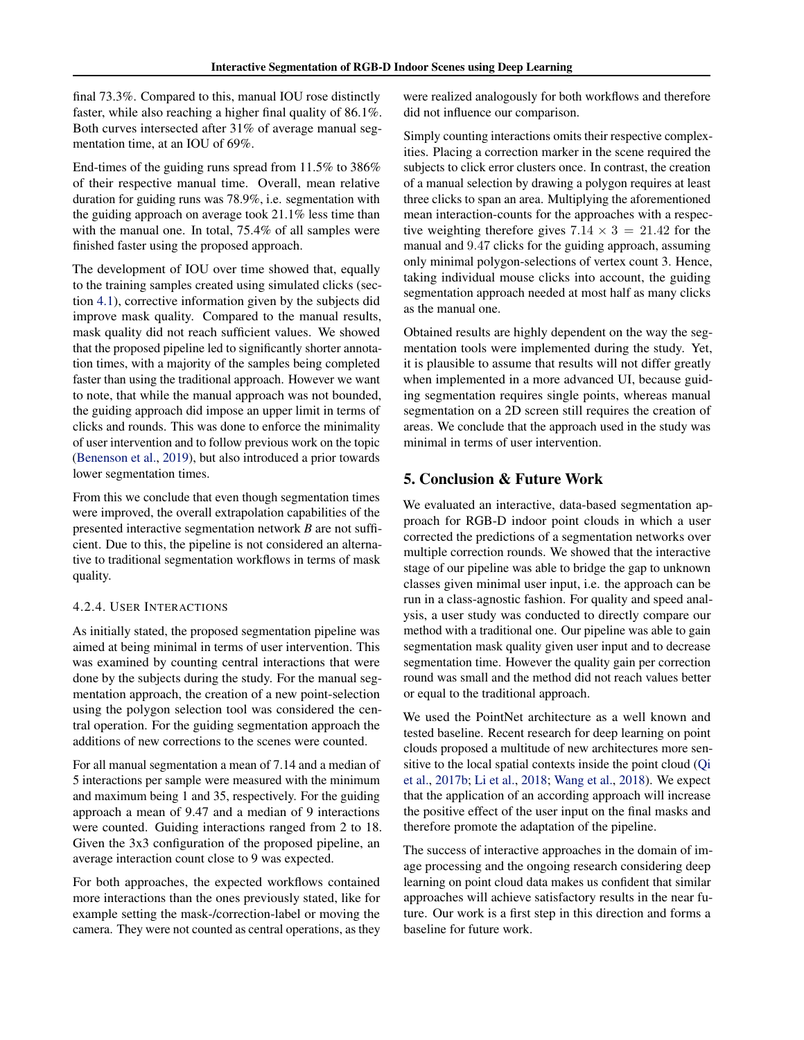final 73.3%. Compared to this, manual IOU rose distinctly faster, while also reaching a higher final quality of 86.1%. Both curves intersected after 31% of average manual segmentation time, at an IOU of 69%.

End-times of the guiding runs spread from 11.5% to 386% of their respective manual time. Overall, mean relative duration for guiding runs was 78.9%, i.e. segmentation with the guiding approach on average took 21.1% less time than with the manual one. In total, 75.4% of all samples were finished faster using the proposed approach.

The development of IOU over time showed that, equally to the training samples created using simulated clicks (section [4.1\)](#page-4-0), corrective information given by the subjects did improve mask quality. Compared to the manual results, mask quality did not reach sufficient values. We showed that the proposed pipeline led to significantly shorter annotation times, with a majority of the samples being completed faster than using the traditional approach. However we want to note, that while the manual approach was not bounded, the guiding approach did impose an upper limit in terms of clicks and rounds. This was done to enforce the minimality of user intervention and to follow previous work on the topic [\(Benenson et al.,](#page-8-0) [2019\)](#page-8-0), but also introduced a prior towards lower segmentation times.

From this we conclude that even though segmentation times were improved, the overall extrapolation capabilities of the presented interactive segmentation network *B* are not sufficient. Due to this, the pipeline is not considered an alternative to traditional segmentation workflows in terms of mask quality.

# 4.2.4. USER INTERACTIONS

As initially stated, the proposed segmentation pipeline was aimed at being minimal in terms of user intervention. This was examined by counting central interactions that were done by the subjects during the study. For the manual segmentation approach, the creation of a new point-selection using the polygon selection tool was considered the central operation. For the guiding segmentation approach the additions of new corrections to the scenes were counted.

For all manual segmentation a mean of 7.14 and a median of 5 interactions per sample were measured with the minimum and maximum being 1 and 35, respectively. For the guiding approach a mean of 9.47 and a median of 9 interactions were counted. Guiding interactions ranged from 2 to 18. Given the 3x3 configuration of the proposed pipeline, an average interaction count close to 9 was expected.

For both approaches, the expected workflows contained more interactions than the ones previously stated, like for example setting the mask-/correction-label or moving the camera. They were not counted as central operations, as they were realized analogously for both workflows and therefore did not influence our comparison.

Simply counting interactions omits their respective complexities. Placing a correction marker in the scene required the subjects to click error clusters once. In contrast, the creation of a manual selection by drawing a polygon requires at least three clicks to span an area. Multiplying the aforementioned mean interaction-counts for the approaches with a respective weighting therefore gives  $7.14 \times 3 = 21.42$  for the manual and 9.47 clicks for the guiding approach, assuming only minimal polygon-selections of vertex count 3. Hence, taking individual mouse clicks into account, the guiding segmentation approach needed at most half as many clicks as the manual one.

Obtained results are highly dependent on the way the segmentation tools were implemented during the study. Yet, it is plausible to assume that results will not differ greatly when implemented in a more advanced UI, because guiding segmentation requires single points, whereas manual segmentation on a 2D screen still requires the creation of areas. We conclude that the approach used in the study was minimal in terms of user intervention.

# 5. Conclusion & Future Work

We evaluated an interactive, data-based segmentation approach for RGB-D indoor point clouds in which a user corrected the predictions of a segmentation networks over multiple correction rounds. We showed that the interactive stage of our pipeline was able to bridge the gap to unknown classes given minimal user input, i.e. the approach can be run in a class-agnostic fashion. For quality and speed analysis, a user study was conducted to directly compare our method with a traditional one. Our pipeline was able to gain segmentation mask quality given user input and to decrease segmentation time. However the quality gain per correction round was small and the method did not reach values better or equal to the traditional approach.

We used the PointNet architecture as a well known and tested baseline. Recent research for deep learning on point clouds proposed a multitude of new architectures more sensitive to the local spatial contexts inside the point cloud [\(Qi](#page-9-0) [et al.,](#page-9-0) [2017b;](#page-9-0) [Li et al.,](#page-8-0) [2018;](#page-8-0) [Wang et al.,](#page-9-0) [2018\)](#page-9-0). We expect that the application of an according approach will increase the positive effect of the user input on the final masks and therefore promote the adaptation of the pipeline.

The success of interactive approaches in the domain of image processing and the ongoing research considering deep learning on point cloud data makes us confident that similar approaches will achieve satisfactory results in the near future. Our work is a first step in this direction and forms a baseline for future work.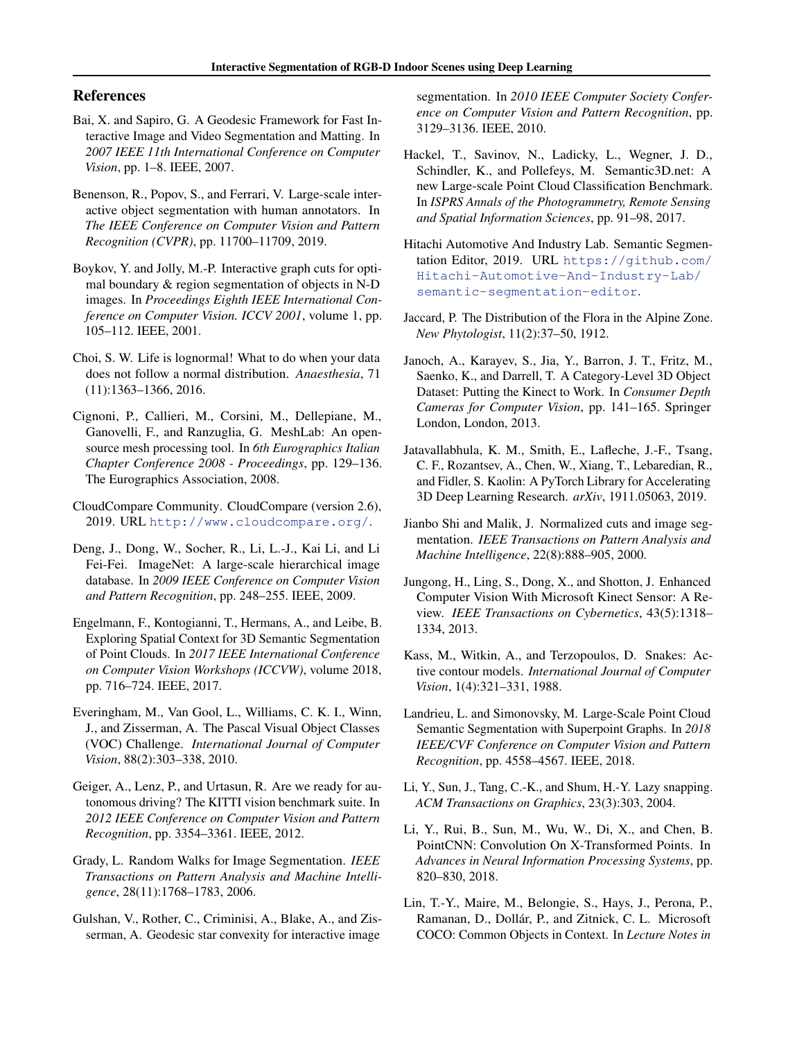# <span id="page-8-0"></span>References

- Bai, X. and Sapiro, G. A Geodesic Framework for Fast Interactive Image and Video Segmentation and Matting. In *2007 IEEE 11th International Conference on Computer Vision*, pp. 1–8. IEEE, 2007.
- Benenson, R., Popov, S., and Ferrari, V. Large-scale interactive object segmentation with human annotators. In *The IEEE Conference on Computer Vision and Pattern Recognition (CVPR)*, pp. 11700–11709, 2019.
- Boykov, Y. and Jolly, M.-P. Interactive graph cuts for optimal boundary & region segmentation of objects in N-D images. In *Proceedings Eighth IEEE International Conference on Computer Vision. ICCV 2001*, volume 1, pp. 105–112. IEEE, 2001.
- Choi, S. W. Life is lognormal! What to do when your data does not follow a normal distribution. *Anaesthesia*, 71 (11):1363–1366, 2016.
- Cignoni, P., Callieri, M., Corsini, M., Dellepiane, M., Ganovelli, F., and Ranzuglia, G. MeshLab: An opensource mesh processing tool. In *6th Eurographics Italian Chapter Conference 2008 - Proceedings*, pp. 129–136. The Eurographics Association, 2008.
- CloudCompare Community. CloudCompare (version 2.6), 2019. URL <http://www.cloudcompare.org/>.
- Deng, J., Dong, W., Socher, R., Li, L.-J., Kai Li, and Li Fei-Fei. ImageNet: A large-scale hierarchical image database. In *2009 IEEE Conference on Computer Vision and Pattern Recognition*, pp. 248–255. IEEE, 2009.
- Engelmann, F., Kontogianni, T., Hermans, A., and Leibe, B. Exploring Spatial Context for 3D Semantic Segmentation of Point Clouds. In *2017 IEEE International Conference on Computer Vision Workshops (ICCVW)*, volume 2018, pp. 716–724. IEEE, 2017.
- Everingham, M., Van Gool, L., Williams, C. K. I., Winn, J., and Zisserman, A. The Pascal Visual Object Classes (VOC) Challenge. *International Journal of Computer Vision*, 88(2):303–338, 2010.
- Geiger, A., Lenz, P., and Urtasun, R. Are we ready for autonomous driving? The KITTI vision benchmark suite. In *2012 IEEE Conference on Computer Vision and Pattern Recognition*, pp. 3354–3361. IEEE, 2012.
- Grady, L. Random Walks for Image Segmentation. *IEEE Transactions on Pattern Analysis and Machine Intelligence*, 28(11):1768–1783, 2006.
- Gulshan, V., Rother, C., Criminisi, A., Blake, A., and Zisserman, A. Geodesic star convexity for interactive image

segmentation. In *2010 IEEE Computer Society Conference on Computer Vision and Pattern Recognition*, pp. 3129–3136. IEEE, 2010.

- Hackel, T., Savinov, N., Ladicky, L., Wegner, J. D., Schindler, K., and Pollefeys, M. Semantic3D.net: A new Large-scale Point Cloud Classification Benchmark. In *ISPRS Annals of the Photogrammetry, Remote Sensing and Spatial Information Sciences*, pp. 91–98, 2017.
- Hitachi Automotive And Industry Lab. Semantic Segmentation Editor, 2019. URL [https://github.com/](https://github.com/Hitachi-Automotive-And-Industry-Lab/semantic-segmentation-editor) [Hitachi-Automotive-And-Industry-Lab/](https://github.com/Hitachi-Automotive-And-Industry-Lab/semantic-segmentation-editor) [semantic-segmentation-editor](https://github.com/Hitachi-Automotive-And-Industry-Lab/semantic-segmentation-editor).
- Jaccard, P. The Distribution of the Flora in the Alpine Zone. *New Phytologist*, 11(2):37–50, 1912.
- Janoch, A., Karayev, S., Jia, Y., Barron, J. T., Fritz, M., Saenko, K., and Darrell, T. A Category-Level 3D Object Dataset: Putting the Kinect to Work. In *Consumer Depth Cameras for Computer Vision*, pp. 141–165. Springer London, London, 2013.
- Jatavallabhula, K. M., Smith, E., Lafleche, J.-F., Tsang, C. F., Rozantsev, A., Chen, W., Xiang, T., Lebaredian, R., and Fidler, S. Kaolin: A PyTorch Library for Accelerating 3D Deep Learning Research. *arXiv*, 1911.05063, 2019.
- Jianbo Shi and Malik, J. Normalized cuts and image segmentation. *IEEE Transactions on Pattern Analysis and Machine Intelligence*, 22(8):888–905, 2000.
- Jungong, H., Ling, S., Dong, X., and Shotton, J. Enhanced Computer Vision With Microsoft Kinect Sensor: A Review. *IEEE Transactions on Cybernetics*, 43(5):1318– 1334, 2013.
- Kass, M., Witkin, A., and Terzopoulos, D. Snakes: Active contour models. *International Journal of Computer Vision*, 1(4):321–331, 1988.
- Landrieu, L. and Simonovsky, M. Large-Scale Point Cloud Semantic Segmentation with Superpoint Graphs. In *2018 IEEE/CVF Conference on Computer Vision and Pattern Recognition*, pp. 4558–4567. IEEE, 2018.
- Li, Y., Sun, J., Tang, C.-K., and Shum, H.-Y. Lazy snapping. *ACM Transactions on Graphics*, 23(3):303, 2004.
- Li, Y., Rui, B., Sun, M., Wu, W., Di, X., and Chen, B. PointCNN: Convolution On X-Transformed Points. In *Advances in Neural Information Processing Systems*, pp. 820–830, 2018.
- Lin, T.-Y., Maire, M., Belongie, S., Hays, J., Perona, P., Ramanan, D., Dollár, P., and Zitnick, C. L. Microsoft COCO: Common Objects in Context. In *Lecture Notes in*